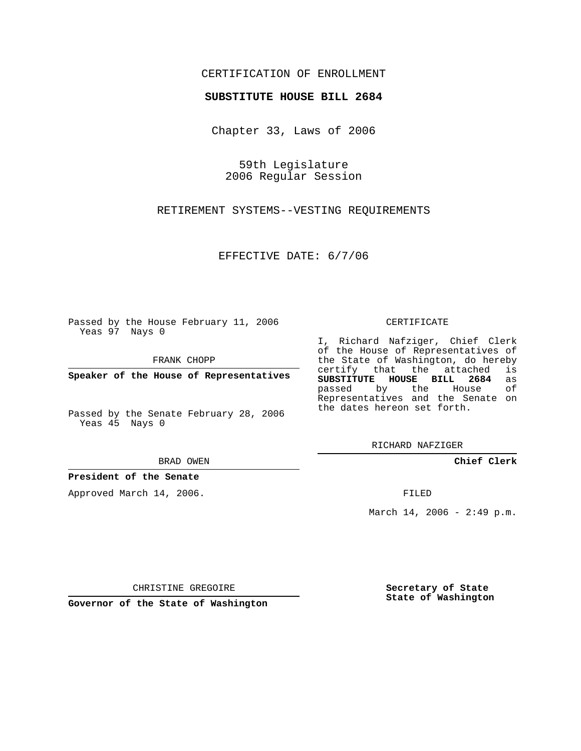## CERTIFICATION OF ENROLLMENT

## **SUBSTITUTE HOUSE BILL 2684**

Chapter 33, Laws of 2006

59th Legislature 2006 Regular Session

RETIREMENT SYSTEMS--VESTING REQUIREMENTS

EFFECTIVE DATE: 6/7/06

Passed by the House February 11, 2006 Yeas 97 Nays 0

FRANK CHOPP

**Speaker of the House of Representatives**

Passed by the Senate February 28, 2006 Yeas 45 Nays 0

BRAD OWEN

**President of the Senate**

Approved March 14, 2006.

CERTIFICATE

I, Richard Nafziger, Chief Clerk of the House of Representatives of the State of Washington, do hereby<br>certify that the attached is certify that the attached **SUBSTITUTE HOUSE BILL 2684** as passed by the House of Representatives and the Senate on the dates hereon set forth.

RICHARD NAFZIGER

**Chief Clerk**

FILED

March 14, 2006 -  $2:49$  p.m.

CHRISTINE GREGOIRE

**Governor of the State of Washington**

**Secretary of State State of Washington**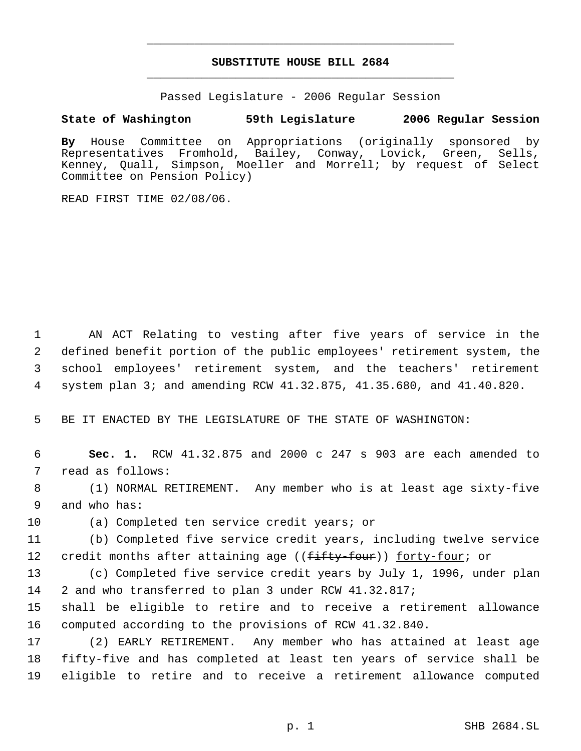## **SUBSTITUTE HOUSE BILL 2684** \_\_\_\_\_\_\_\_\_\_\_\_\_\_\_\_\_\_\_\_\_\_\_\_\_\_\_\_\_\_\_\_\_\_\_\_\_\_\_\_\_\_\_\_\_

\_\_\_\_\_\_\_\_\_\_\_\_\_\_\_\_\_\_\_\_\_\_\_\_\_\_\_\_\_\_\_\_\_\_\_\_\_\_\_\_\_\_\_\_\_

Passed Legislature - 2006 Regular Session

## **State of Washington 59th Legislature 2006 Regular Session**

**By** House Committee on Appropriations (originally sponsored by Representatives Fromhold, Bailey, Conway, Lovick, Green, Sells, Kenney, Quall, Simpson, Moeller and Morrell; by request of Select Committee on Pension Policy)

READ FIRST TIME 02/08/06.

 AN ACT Relating to vesting after five years of service in the defined benefit portion of the public employees' retirement system, the school employees' retirement system, and the teachers' retirement system plan 3; and amending RCW 41.32.875, 41.35.680, and 41.40.820.

5 BE IT ENACTED BY THE LEGISLATURE OF THE STATE OF WASHINGTON:

 6 **Sec. 1.** RCW 41.32.875 and 2000 c 247 s 903 are each amended to 7 read as follows:

 8 (1) NORMAL RETIREMENT. Any member who is at least age sixty-five 9 and who has:

10 (a) Completed ten service credit years; or

11 (b) Completed five service credit years, including twelve service 12 credit months after attaining age ((fifty-four)) forty-four; or

13 (c) Completed five service credit years by July 1, 1996, under plan 14 2 and who transferred to plan 3 under RCW 41.32.817;

15 shall be eligible to retire and to receive a retirement allowance 16 computed according to the provisions of RCW 41.32.840.

17 (2) EARLY RETIREMENT. Any member who has attained at least age 18 fifty-five and has completed at least ten years of service shall be 19 eligible to retire and to receive a retirement allowance computed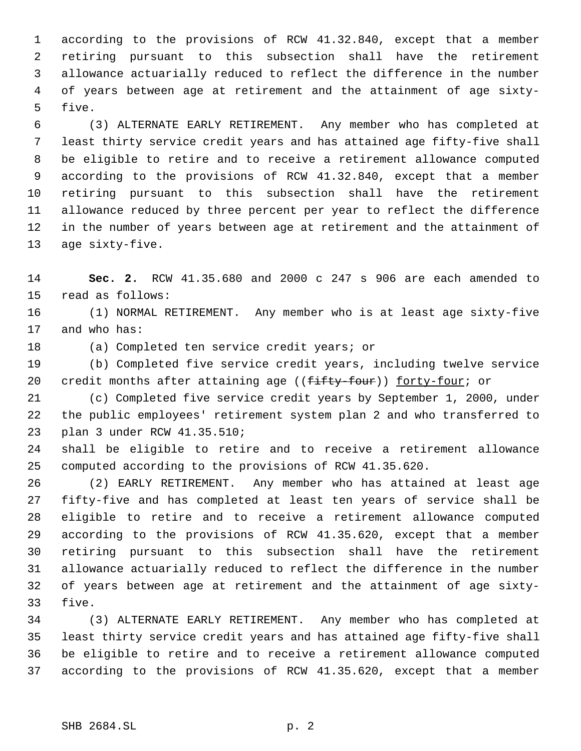according to the provisions of RCW 41.32.840, except that a member retiring pursuant to this subsection shall have the retirement allowance actuarially reduced to reflect the difference in the number of years between age at retirement and the attainment of age sixty- five.

 (3) ALTERNATE EARLY RETIREMENT. Any member who has completed at least thirty service credit years and has attained age fifty-five shall be eligible to retire and to receive a retirement allowance computed according to the provisions of RCW 41.32.840, except that a member retiring pursuant to this subsection shall have the retirement allowance reduced by three percent per year to reflect the difference in the number of years between age at retirement and the attainment of age sixty-five.

 **Sec. 2.** RCW 41.35.680 and 2000 c 247 s 906 are each amended to read as follows:

 (1) NORMAL RETIREMENT. Any member who is at least age sixty-five and who has:

(a) Completed ten service credit years; or

 (b) Completed five service credit years, including twelve service 20 credit months after attaining age ((fifty-four)) forty-four; or

 (c) Completed five service credit years by September 1, 2000, under the public employees' retirement system plan 2 and who transferred to plan 3 under RCW 41.35.510;

 shall be eligible to retire and to receive a retirement allowance computed according to the provisions of RCW 41.35.620.

 (2) EARLY RETIREMENT. Any member who has attained at least age fifty-five and has completed at least ten years of service shall be eligible to retire and to receive a retirement allowance computed according to the provisions of RCW 41.35.620, except that a member retiring pursuant to this subsection shall have the retirement allowance actuarially reduced to reflect the difference in the number of years between age at retirement and the attainment of age sixty-five.

 (3) ALTERNATE EARLY RETIREMENT. Any member who has completed at least thirty service credit years and has attained age fifty-five shall be eligible to retire and to receive a retirement allowance computed according to the provisions of RCW 41.35.620, except that a member